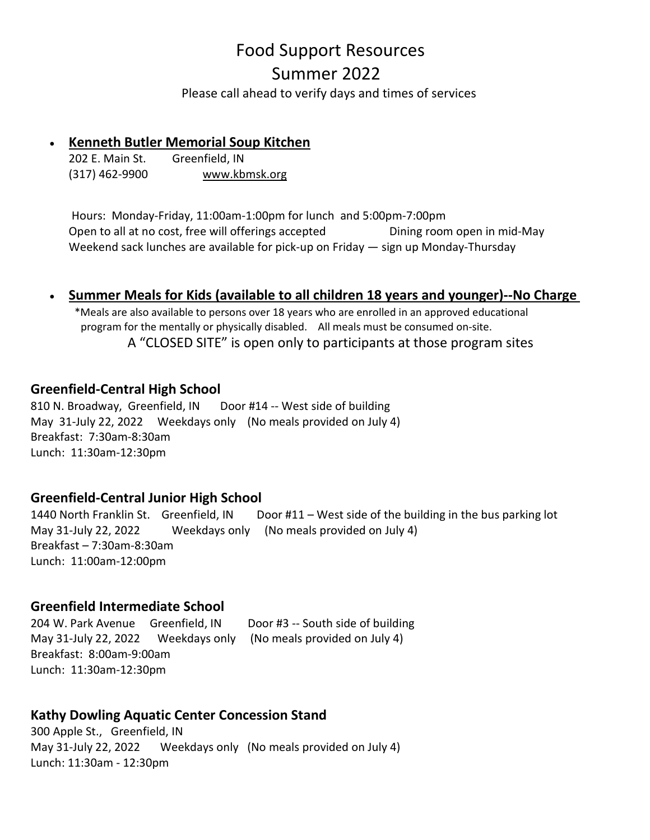# Food Support Resources

**Summer 2022**<br>Please call ahead to verify days and times of services

#### • **Kenneth Butler Memorial Soup Kitchen**

202 E. Main St. Greenfield, IN (317) 462-9900 [www.kbmsk.org](http://www.kbmsk.org/)

Hours: Monday-Friday, 11:00am-1:00pm for lunch and 5:00pm-7:00pm Open to all at no cost, free will offerings accepted Dining room open in mid-May Weekend sack lunches are available for pick-up on Friday — sign up Monday-Thursday

#### • **Summer Meals for Kids (available to all children 18 years and younger)--No Charge**

 \*Meals are also available to persons over 18 years who are enrolled in an approved educational program for the mentally or physically disabled. All meals must be consumed on-site. A "CLOSED SITE" is open only to participants at those program sites

#### **Greenfield-Central High School**

810 N. Broadway, Greenfield, IN Door #14 -- West side of building May 31-July 22, 2022 Weekdays only (No meals provided on July 4) Breakfast: 7:30am-8:30am Lunch: 11:30am-12:30pm

### **Greenfield-Central Junior High School**

1440 North Franklin St. Greenfield, IN Door #11 – West side of the building in the bus parking lot May 31-July 22, 2022 Weekdays only (No meals provided on July 4) Breakfast – 7:30am-8:30am Lunch: 11:00am-12:00pm

### **Greenfield Intermediate School**

204 W. Park Avenue Greenfield, IN Door #3 -- South side of building May 31-July 22, 2022 Weekdays only (No meals provided on July 4) Breakfast: 8:00am-9:00am Lunch: 11:30am-12:30pm

### **Kathy Dowling Aquatic Center Concession Stand**

300 Apple St., Greenfield, IN May 31-July 22, 2022 Weekdays only (No meals provided on July 4) Lunch: 11:30am - 12:30pm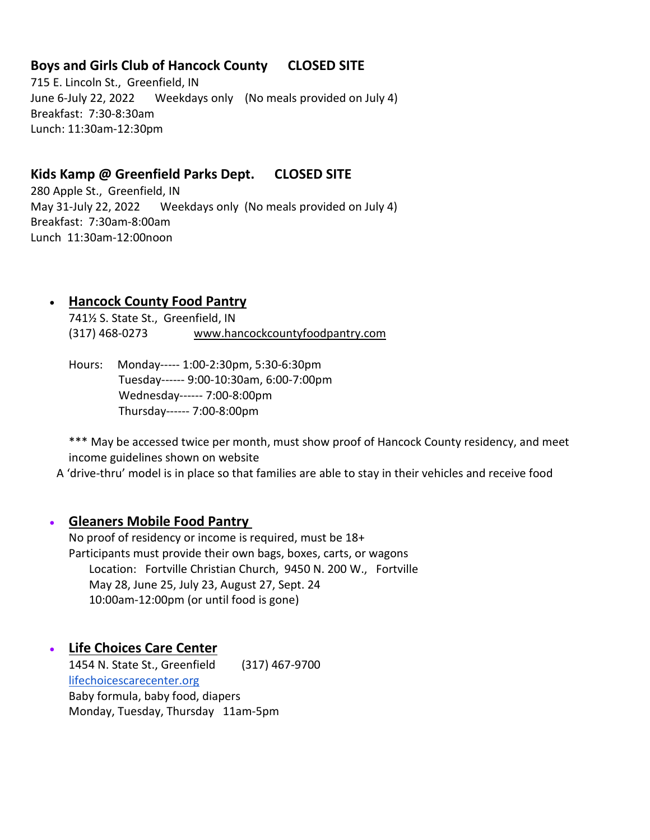# **Boys and Girls Club of Hancock County CLOSED SITE**

715 E. Lincoln St., Greenfield, IN June 6-July 22, 2022 Weekdays only (No meals provided on July 4) Breakfast: 7:30-8:30am Lunch: 11:30am-12:30pm

# **Kids Kamp @ Greenfield Parks Dept. CLOSED SITE**

280 Apple St., Greenfield, IN May 31-July 22, 2022 Weekdays only (No meals provided on July 4) Breakfast: 7:30am-8:00am Lunch 11:30am-12:00noon

# • **Hancock County Food Pantry**

741½ S. State St., Greenfield, IN (317) 468-0273 [www.hancockcountyfoodpantry.com](http://www.hancockcountyfoodpantry.com/)

Hours: Monday----- 1:00-2:30pm, 5:30-6:30pm Tuesday------ 9:00-10:30am, 6:00-7:00pm Wednesday------ 7:00-8:00pm Thursday------ 7:00-8:00pm

\*\*\* May be accessed twice per month, must show proof of Hancock County residency, and meet income guidelines shown on website

A 'drive-thru' model is in place so that families are able to stay in their vehicles and receive food

### • **Gleaners Mobile Food Pantry**

No proof of residency or income is required, must be 18+ Participants must provide their own bags, boxes, carts, or wagons Location: Fortville Christian Church, 9450 N. 200 W., Fortville May 28, June 25, July 23, August 27, Sept. 24 10:00am-12:00pm (or until food is gone)

### • **Life Choices Care Center**

1454 N. State St., Greenfield (317) 467-9700 [lifechoicescarecenter.org](https://www.lifechoicescarecenter.org/) Baby formula, baby food, diapers Monday, Tuesday, Thursday 11am-5pm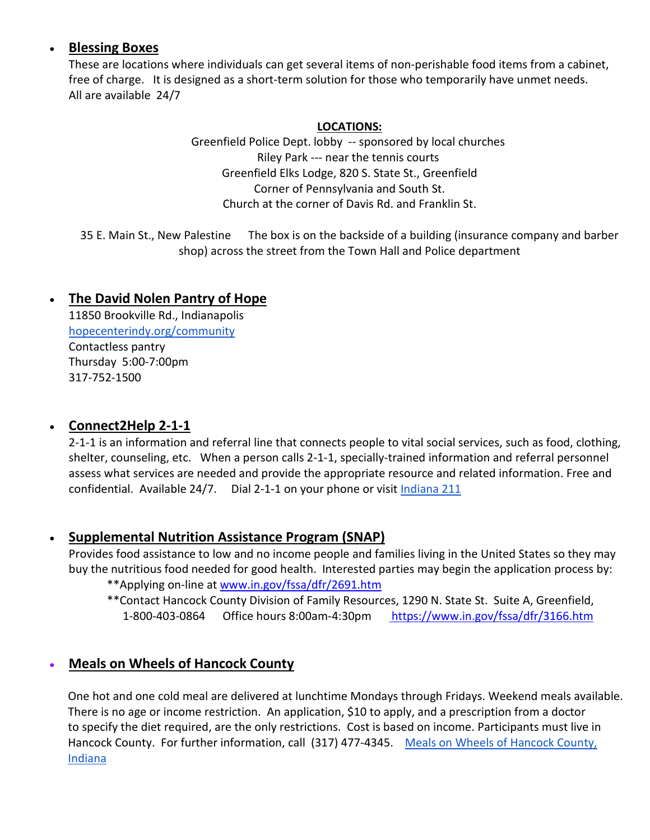# • **Blessing Boxes**

These are locations where individuals can get several items of non-perishable food items from a cabinet, free of charge. It is designed as a short-term solution for those who temporarily have unmet needs. All are available 24/7

#### **LOCATIONS:**

Greenfield Police Dept. lobby -- sponsored by local churches Riley Park --- near the tennis courts Greenfield Elks Lodge, 820 S. State St., Greenfield Corner of Pennsylvania and South St. Church at the corner of Davis Rd. and Franklin St.

35 E. Main St., New Palestine The box is on the backside of a building (insurance company and barber shop) across the street from the Town Hall and Police department

# • **The David Nolen Pantry of Hope**

11850 Brookville Rd., Indianapolis hopecenterindy.org/community Contactless pantry Thursday 5:00-7:00pm 317-752-1500

# • **Connect2Help 2-1-1**

2-1-1 is an information and referral line that connects people to vital social services, such as food, clothing, shelter, counseling, etc. When a person calls 2-1-1, specially-trained information and referral personnel assess what services are needed and provide the appropriate resource and related information. Free and confidential. Available 24/7. Dial 2-1-1 on your phone or visit Indiana 211

# • **Supplemental Nutrition Assistance Program (SNAP)**

Provides food assistance to low and no income people and families living in the United States so they may buy the nutritious food needed for good health. Interested parties may begin the application process by: \*\*Applying on-line at www.in.gov/fssa/dfr/2691.htm

\*\*Contact Hancock County Division of Family Resources, 1290 N. State St. Suite A, Greenfield, 1-800-403-0864 Office hours 8:00am-4:30pm https://www.in.gov/fssa/dfr/3166.htm

# • **Meals on Wheels of Hancock County**

One hot and one cold meal are delivered at lunchtime Mondays through Fridays. Weekend meals available. There is no age or income restriction. An application, \$10 to apply, and a prescription from a doctor to specify the diet required, are the only restrictions. Cost is based on income. Participants must live in Hancock County. For further information, call (317) 477-4345. Meals on Wheels of Hancock County, Indiana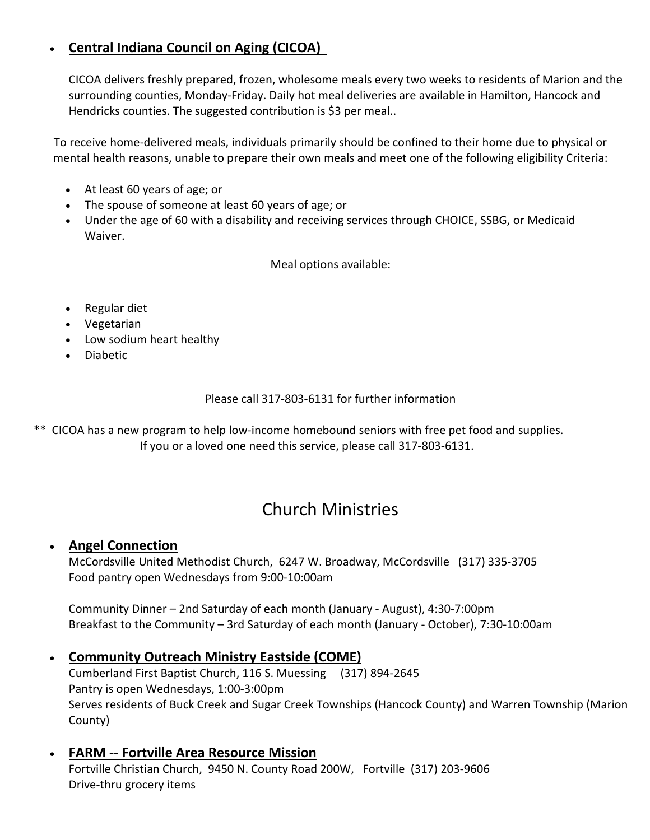# • **Central Indiana Council on Aging (CICOA)**

CICOA delivers freshly prepared, frozen, wholesome meals every two weeks to residents of Marion and the surrounding counties, Monday-Friday. Daily hot meal deliveries are available in Hamilton, Hancock and Hendricks counties. The suggested contribution is \$3 per meal..

To receive home-delivered meals, individuals primarily should be confined to their home due to physical or mental health reasons, unable to prepare their own meals and meet one of the following eligibility Criteria:

- At least 60 years of age; or
- The spouse of someone at least 60 years of age; or
- Under the age of 60 with a disability and receiving services through CHOICE, SSBG, or Medicaid Waiver.

Meal options available:

- Regular diet
- Vegetarian
- Low sodium heart healthy
- Diabetic

Please call 317-803-6131 for further information

\*\* CICOA has a new program to help low-income homebound seniors with free pet food and supplies. If you or a loved one need this service, please call 317-803-6131.

# Church Ministries

### • **Angel Connection**

McCordsville United Methodist Church, 6247 W. Broadway, McCordsville (317) 335-3705 Food pantry open Wednesdays from 9:00-10:00am

Community Dinner – 2nd Saturday of each month (January - August), 4:30-7:00pm Breakfast to the Community – 3rd Saturday of each month (January - October), 7:30-10:00am

- **Community Outreach Ministry Eastside (COME)** Cumberland First Baptist Church, 116 S. Muessing (317) 894-2645 Pantry is open Wednesdays, 1:00-3:00pm Serves residents of Buck Creek and Sugar Creek Townships (Hancock County) and Warren Township (Marion County)
- **FARM -- Fortville Area Resource Mission** Fortville Christian Church, 9450 N. County Road 200W, Fortville (317) 203-9606 Drive-thru grocery items